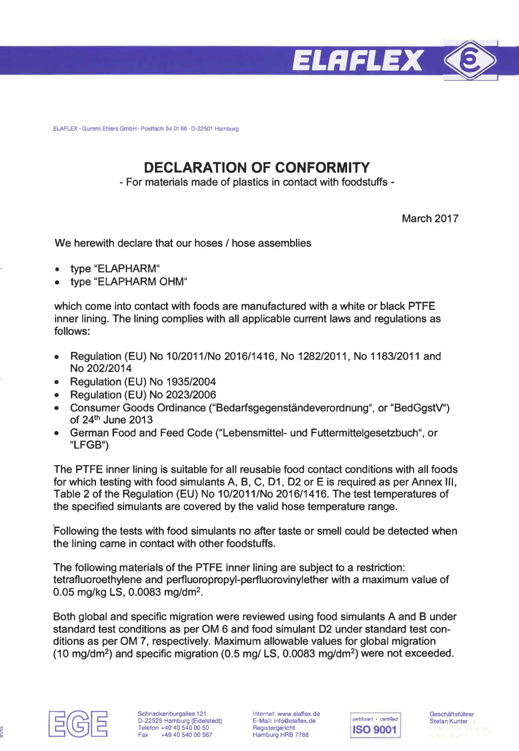

**ELAFLEX -Gummi Ehlers GmbH · Postfach 54 01 66 · D-22501 Hamburg** 

## **DECLARATION OF CONFORMITY**

- For materials made of plastics in contact with foodstuffs -

March 2017

We herewith declare that our hoses / hose assemblies

- type "ELAPHARM"
- type "ELAPHARM OHM"

which come into contact with foods are manufactured with a white or black PTFE inner lining. The lining complies with all applicable current laws and regulations as follows:

- Regulation (EU) No 10/2011/No 2016/1416, No 1282/2011, No 1183/2011 and No 202/2014
- Regulation (EU) No 1935/2004
- Regulation (EU) No 2023/2006
- Consumer Goods Ordinance ("Bedarfsgegenständeverordnung", or "BedGgstV") of  $24<sup>th</sup>$  June 2013
- German Food and Feed Code ("Lebensmittel- und Futtermittelgesetzbuch", or **"LFGB")**

The PTFE inner lining is suitable for all reusable food contact conditions with all foods for which testing with food simulants A, B, C, D1, D2 or Eis required as per Annex 111, Table 2 of the Regulation (EU) No 10/2011/No 2016/1416. The test temperatures of the specified simulants are covered by the valid hose temperature range.

Following the tests with food simulants no after taste or smell could be detected when the lining came in contact with other foodstuffs.

The following materials of the PTFE inner lining are subject to a restriction: tetrafluoroethylene and perfluoropropyl-perfluorovinylether with a maximum value of 0.05 mg/kg LS, 0.0083 mg/dm**<sup>2</sup> .** 

Both global and specific migration were reviewed using food simulants A and B under standard test conditions as per OM 6 and food simulant D2 under standard test conditions as per OM 7, respectively. Maximum allowable values for global migration (10 mg/dm**<sup>2</sup> )** and specific migration (0.5 mg/ LS, 0.0083 mg/dm**<sup>2</sup> )** were not exceeded.



**Internet: www.elaflex.de E-Mail: lnfo@elaflex.de Registergericht Hamburg HRB 7788**